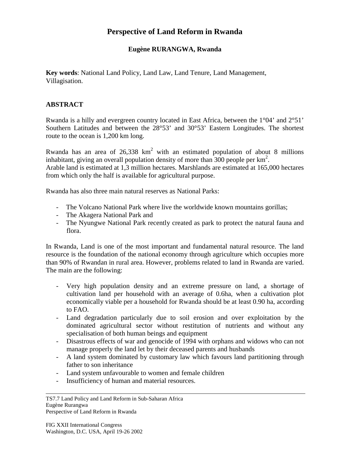## **Perspective of Land Reform in Rwanda**

## **Eugène RURANGWA, Rwanda**

**Key words**: National Land Policy, Land Law, Land Tenure, Land Management, Villagisation.

## **ABSTRACT**

Rwanda is a hilly and evergreen country located in East Africa, between the 1°04' and 2°51' Southern Latitudes and between the 28°53' and 30°53' Eastern Longitudes. The shortest route to the ocean is 1,200 km long.

Rwanda has an area of  $26,338 \text{ km}^2$  with an estimated population of about 8 millions inhabitant, giving an overall population density of more than  $300$  people per km<sup>2</sup>. Arable land is estimated at 1,3 million hectares. Marshlands are estimated at 165,000 hectares from which only the half is available for agricultural purpose.

Rwanda has also three main natural reserves as National Parks:

- The Volcano National Park where live the worldwide known mountains gorillas;
- The Akagera National Park and
- The Nyungwe National Park recently created as park to protect the natural fauna and flora.

In Rwanda, Land is one of the most important and fundamental natural resource. The land resource is the foundation of the national economy through agriculture which occupies more than 90% of Rwandan in rural area. However, problems related to land in Rwanda are varied. The main are the following:

- Very high population density and an extreme pressure on land, a shortage of cultivation land per household with an average of 0.6ha, when a cultivation plot economically viable per a household for Rwanda should be at least 0.90 ha, according to FAO.
- Land degradation particularly due to soil erosion and over exploitation by the dominated agricultural sector without restitution of nutrients and without any specialisation of both human beings and equipment
- Disastrous effects of war and genocide of 1994 with orphans and widows who can not manage properly the land let by their deceased parents and husbands
- A land system dominated by customary law which favours land partitioning through father to son inheritance
- Land system unfavourable to women and female children
- Insufficiency of human and material resources.